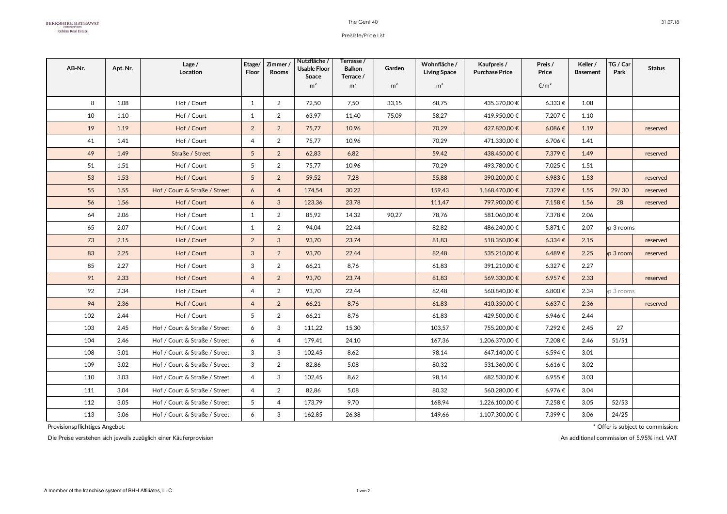## The Gent 40

## Preisliste/Price List

| AB-Nr. | Apt. Nr. | Lage $/$<br>Location          | Etage/<br>Floor | Zimmer/<br><b>Rooms</b> | Nutzfläche /<br>Usable Floor<br>Space | Terrasse /<br><b>Balkon</b><br>Terrace / | Garden         | Wohnfläche /<br><b>Living Space</b> | Kaufpreis /<br><b>Purchase Price</b> | Preis /<br>Price | Keller /<br><b>Basement</b> | TG / Car<br>Park | <b>Status</b> |
|--------|----------|-------------------------------|-----------------|-------------------------|---------------------------------------|------------------------------------------|----------------|-------------------------------------|--------------------------------------|------------------|-----------------------------|------------------|---------------|
|        |          |                               |                 |                         | m <sup>2</sup>                        | m <sup>2</sup>                           | m <sup>2</sup> | m <sup>2</sup>                      |                                      | €/m <sup>2</sup> |                             |                  |               |
| 8      | 1.08     | Hof / Court                   | $\mathbf{1}$    | 2                       | 72,50                                 | 7,50                                     | 33.15          | 68,75                               | 435.370,00 €                         | 6.333€           | 1.08                        |                  |               |
| 10     | 1.10     | Hof / Court                   | $\mathbf{1}$    | $\overline{2}$          | 63,97                                 | 11,40                                    | 75,09          | 58,27                               | 419.950,00€                          | 7.207€           | 1.10                        |                  |               |
| 19     | 1.19     | Hof / Court                   | $\overline{2}$  | 2                       | 75,77                                 | 10,96                                    |                | 70,29                               | 427.820,00 €                         | 6.086€           | 1.19                        |                  | reserved      |
| 41     | 1.41     | Hof / Court                   | 4               | $\overline{2}$          | 75,77                                 | 10,96                                    |                | 70,29                               | 471.330,00 €                         | 6.706€           | 1.41                        |                  |               |
| 49     | 1.49     | Straße / Street               | 5               | $\overline{2}$          | 62,83                                 | 6,82                                     |                | 59,42                               | 438.450,00€                          | 7.379€           | 1.49                        |                  | reserved      |
| 51     | 1.51     | Hof / Court                   | 5               | $\overline{2}$          | 75,77                                 | 10,96                                    |                | 70,29                               | 493.780,00 €                         | 7.025€           | 1.51                        |                  |               |
| 53     | 1.53     | Hof / Court                   | 5 <sup>5</sup>  | $\overline{2}$          | 59,52                                 | 7,28                                     |                | 55,88                               | 390.200,00€                          | 6.983€           | 1.53                        |                  | reserved      |
| 55     | 1.55     | Hof / Court & Straße / Street | 6               | $\overline{4}$          | 174,54                                | 30,22                                    |                | 159,43                              | 1.168.470,00 €                       | 7.329€           | 1.55                        | 29/30            | reserved      |
| 56     | 1.56     | Hof / Court                   | 6               | $\mathbf{3}$            | 123,36                                | 23,78                                    |                | 111,47                              | 797.900,00€                          | 7.158€           | 1.56                        | 28               | reserved      |
| 64     | 2.06     | Hof / Court                   | $\mathbf{1}$    | $\overline{2}$          | 85,92                                 | 14,32                                    | 90,27          | 78,76                               | 581.060,00€                          | 7.378€           | 2.06                        |                  |               |
| 65     | 2.07     | Hof / Court                   | $\mathbf{1}$    | 2                       | 94,04                                 | 22,44                                    |                | 82,82                               | 486.240,00€                          | 5.871€           | 2.07                        | p 3 rooms        |               |
| 73     | 2.15     | Hof / Court                   | $\overline{2}$  | $\mathbf{3}$            | 93.70                                 | 23,74                                    |                | 81,83                               | 518.350,00€                          | $6.334 \in$      | 2.15                        |                  | reserved      |
| 83     | 2.25     | Hof / Court                   | 3               | $\overline{2}$          | 93,70                                 | 22,44                                    |                | 82,48                               | 535.210,00€                          | 6.489€           | 2.25                        | p 3 room         | reserved      |
| 85     | 2.27     | Hof / Court                   | 3               | $\overline{2}$          | 66,21                                 | 8,76                                     |                | 61,83                               | 391.210,00€                          | 6.327€           | 2.27                        |                  |               |
| 91     | 2.33     | Hof / Court                   | $\overline{4}$  | $\overline{2}$          | 93,70                                 | 23,74                                    |                | 81,83                               | 569.330,00€                          | 6.957€           | 2.33                        |                  | reserved      |
| 92     | 2.34     | Hof / Court                   | $\overline{4}$  | $\overline{2}$          | 93,70                                 | 22,44                                    |                | 82,48                               | 560.840.00€                          | 6.800€           | 2.34                        | p 3 rooms        |               |
| 94     | 2.36     | Hof / Court                   | $\overline{4}$  | $\overline{2}$          | 66,21                                 | 8,76                                     |                | 61,83                               | 410.350,00€                          | 6.637€           | 2.36                        |                  | reserved      |
| 102    | 2.44     | Hof / Court                   | 5               | 2                       | 66,21                                 | 8,76                                     |                | 61,83                               | 429.500,00€                          | 6.946€           | 2.44                        |                  |               |
| 103    | 2.45     | Hof / Court & Straße / Street | 6               | 3                       | 111,22                                | 15,30                                    |                | 103,57                              | 755.200,00€                          | 7.292€           | 2.45                        | 27               |               |
| 104    | 2.46     | Hof / Court & Straße / Street | 6               | $\overline{4}$          | 179,41                                | 24,10                                    |                | 167,36                              | 1.206.370,00 €                       | 7.208€           | 2.46                        | 51/51            |               |
| 108    | 3.01     | Hof / Court & Straße / Street | 3               | 3                       | 102,45                                | 8,62                                     |                | 98,14                               | 647.140,00€                          | 6.594€           | 3.01                        |                  |               |
| 109    | 3.02     | Hof / Court & Straße / Street | 3               | $\overline{2}$          | 82,86                                 | 5,08                                     |                | 80,32                               | 531.360,00€                          | 6.616 €          | 3.02                        |                  |               |
| 110    | 3.03     | Hof / Court & Straße / Street | $\overline{4}$  | 3                       | 102,45                                | 8,62                                     |                | 98,14                               | 682.530,00€                          | 6.955€           | 3.03                        |                  |               |
| 111    | 3.04     | Hof / Court & Straße / Street | $\overline{4}$  | 2                       | 82,86                                 | 5,08                                     |                | 80,32                               | 560.280,00€                          | 6.976€           | 3.04                        |                  |               |
| 112    | 3.05     | Hof / Court & Straße / Street | 5               | $\overline{4}$          | 173,79                                | 9,70                                     |                | 168,94                              | 1.226.100,00 €                       | 7.258€           | 3.05                        | 52/53            |               |
| 113    | 3.06     | Hof / Court & Straße / Street | 6               | 3                       | 162,85                                | 26,38                                    |                | 149,66                              | 1.107.300,00 €                       | 7.399€           | 3.06                        | 24/25            |               |

Die Preise verstehen sich jeweils zuzüglich einer Käuferprovision An additional commission of 5.95% incl. VAT

Provisionspflichtiges Angebot: \* Offer is subject to commission: